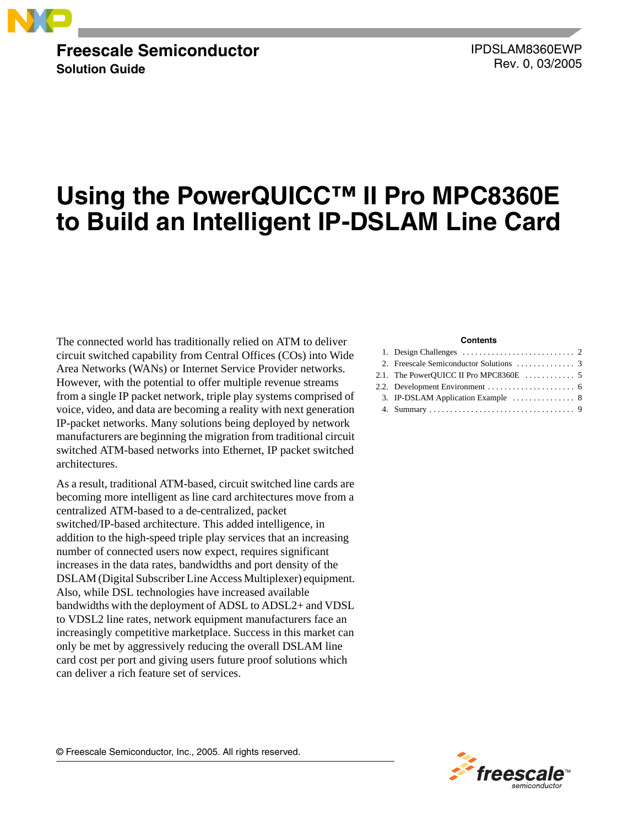

## **Freescale Semiconductor Solution Guide**

IPDSLAM8360EWP Rev. 0, 03/2005

# **Using the PowerQUICC™ II Pro MPC8360E to Build an Intelligent IP-DSLAM Line Card**

The connected world has traditionally relied on ATM to deliver circuit switched capability from Central Offices (COs) into Wide Area Networks (WANs) or Internet Service Provider networks. However, with the potential to offer multiple revenue streams from a single IP packet network, triple play systems comprised of voice, video, and data are becoming a reality with next generation IP-packet networks. Many solutions being deployed by network manufacturers are beginning the migration from traditional circuit switched ATM-based networks into Ethernet, IP packet switched architectures.

As a result, traditional ATM-based, circuit switched line cards are becoming more intelligent as line card architectures move from a centralized ATM-based to a de-centralized, packet switched/IP-based architecture. This added intelligence, in addition to the high-speed triple play services that an increasing number of connected users now expect, requires significant increases in the data rates, bandwidths and port density of the DSLAM (Digital Subscriber Line Access Multiplexer) equipment. Also, while DSL technologies have increased available bandwidths with the deployment of ADSL to ADSL2+ and VDSL to VDSL2 line rates, network equipment manufacturers face an increasingly competitive marketplace. Success in this market can only be met by aggressively reducing the overall DSLAM line card cost per port and giving users future proof solutions which can deliver a rich feature set of services.

#### **Contents**

| 1. Design Challenges $\dots \dots \dots \dots \dots \dots \dots \dots \dots$ |  |
|------------------------------------------------------------------------------|--|
|                                                                              |  |
|                                                                              |  |
|                                                                              |  |
|                                                                              |  |
|                                                                              |  |



© Freescale Semiconductor, Inc., 2005. All rights reserved.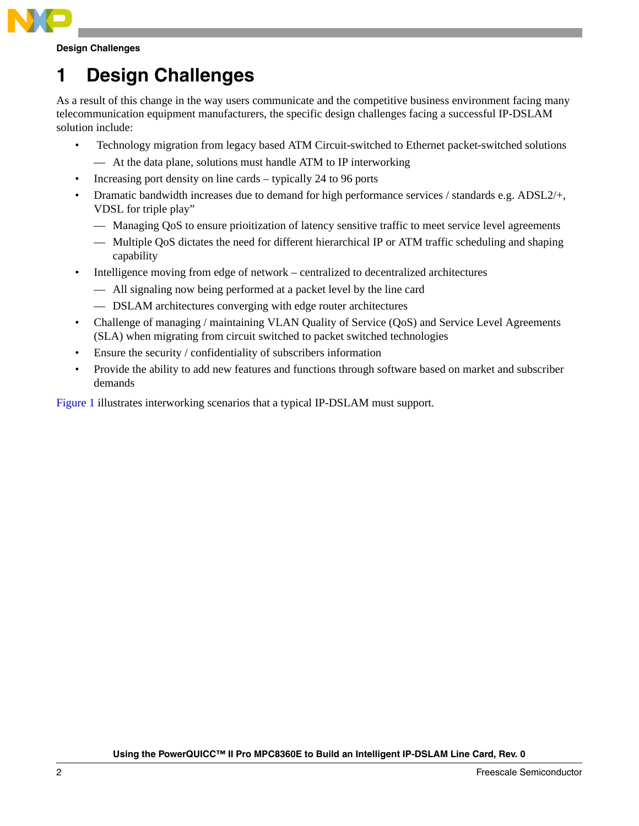

**Design Challenges**

# <span id="page-1-0"></span>**1 Design Challenges**

As a result of this change in the way users communicate and the competitive business environment facing many telecommunication equipment manufacturers, the specific design challenges facing a successful IP-DSLAM solution include:

- Technology migration from legacy based ATM Circuit-switched to Ethernet packet-switched solutions — At the data plane, solutions must handle ATM to IP interworking
- Increasing port density on line cards typically 24 to 96 ports
- Dramatic bandwidth increases due to demand for high performance services / standards e.g. ADSL2/+, VDSL for triple play"
	- Managing QoS to ensure prioitization of latency sensitive traffic to meet service level agreements
	- Multiple QoS dictates the need for different hierarchical IP or ATM traffic scheduling and shaping capability
- Intelligence moving from edge of network centralized to decentralized architectures
	- All signaling now being performed at a packet level by the line card
	- DSLAM architectures converging with edge router architectures
- Challenge of managing / maintaining VLAN Quality of Service (QoS) and Service Level Agreements (SLA) when migrating from circuit switched to packet switched technologies
- Ensure the security / confidentiality of subscribers information
- Provide the ability to add new features and functions through software based on market and subscriber demands

[Figure 1](#page-2-1) illustrates interworking scenarios that a typical IP-DSLAM must support.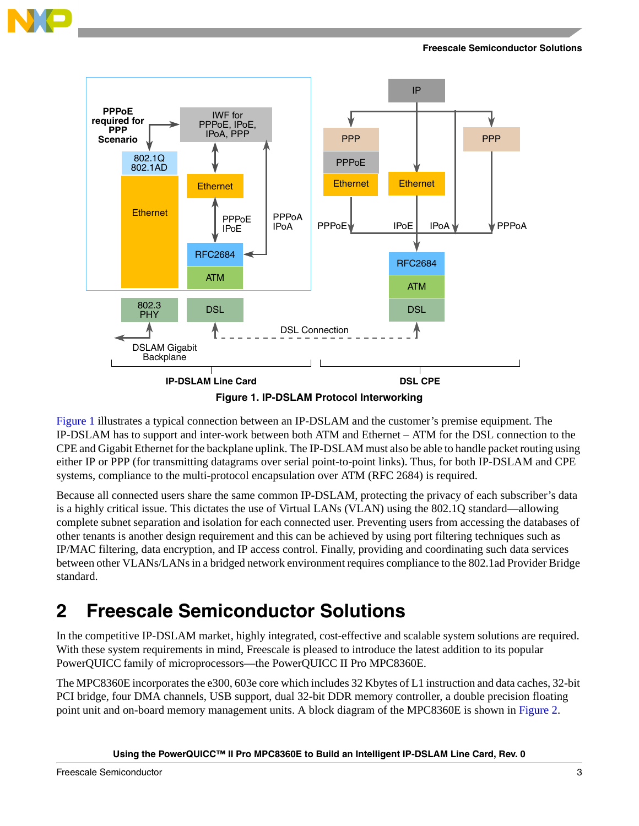

**Freescale Semiconductor Solutions**



<span id="page-2-1"></span>[Figure 1](#page-2-1) illustrates a typical connection between an IP-DSLAM and the customer's premise equipment. The IP-DSLAM has to support and inter-work between both ATM and Ethernet – ATM for the DSL connection to the CPE and Gigabit Ethernet for the backplane uplink. The IP-DSLAM must also be able to handle packet routing using either IP or PPP (for transmitting datagrams over serial point-to-point links). Thus, for both IP-DSLAM and CPE systems, compliance to the multi-protocol encapsulation over ATM (RFC 2684) is required.

Because all connected users share the same common IP-DSLAM, protecting the privacy of each subscriber's data is a highly critical issue. This dictates the use of Virtual LANs (VLAN) using the 802.1Q standard—allowing complete subnet separation and isolation for each connected user. Preventing users from accessing the databases of other tenants is another design requirement and this can be achieved by using port filtering techniques such as IP/MAC filtering, data encryption, and IP access control. Finally, providing and coordinating such data services between other VLANs/LANs in a bridged network environment requires compliance to the 802.1ad Provider Bridge standard.

# <span id="page-2-0"></span>**2 Freescale Semiconductor Solutions**

In the competitive IP-DSLAM market, highly integrated, cost-effective and scalable system solutions are required. With these system requirements in mind, Freescale is pleased to introduce the latest addition to its popular PowerQUICC family of microprocessors—the PowerQUICC II Pro MPC8360E.

The MPC8360E incorporates the e300, 603e core which includes 32 Kbytes of L1 instruction and data caches, 32-bit PCI bridge, four DMA channels, USB support, dual 32-bit DDR memory controller, a double precision floating point unit and on-board memory management units. A block diagram of the MPC8360E is shown in [Figure 2](#page-3-0).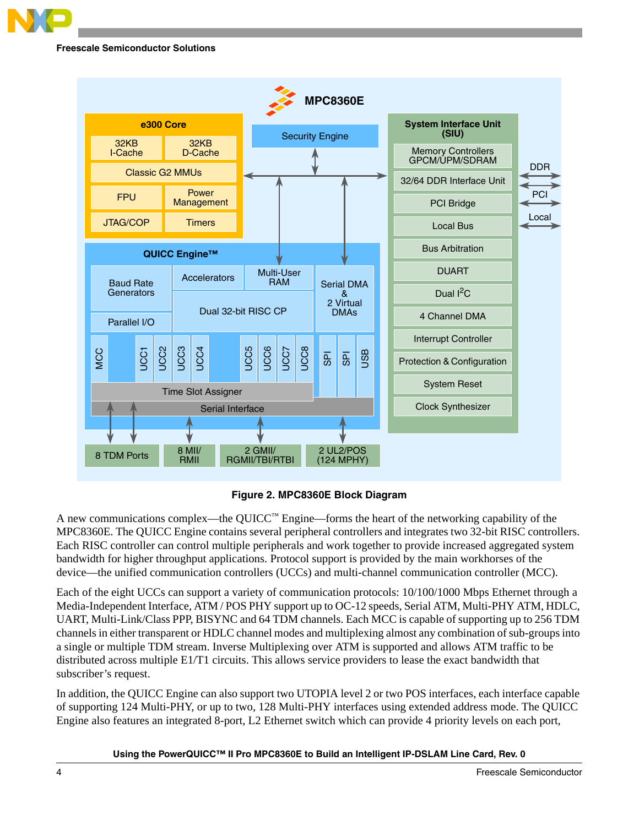

#### **Freescale Semiconductor Solutions**





<span id="page-3-0"></span>A new communications complex—the QUICC™ Engine—forms the heart of the networking capability of the MPC8360E. The QUICC Engine contains several peripheral controllers and integrates two 32-bit RISC controllers. Each RISC controller can control multiple peripherals and work together to provide increased aggregated system bandwidth for higher throughput applications. Protocol support is provided by the main workhorses of the device—the unified communication controllers (UCCs) and multi-channel communication controller (MCC).

Each of the eight UCCs can support a variety of communication protocols: 10/100/1000 Mbps Ethernet through a Media-Independent Interface, ATM / POS PHY support up to OC-12 speeds, Serial ATM, Multi-PHY ATM, HDLC, UART, Multi-Link/Class PPP, BISYNC and 64 TDM channels. Each MCC is capable of supporting up to 256 TDM channels in either transparent or HDLC channel modes and multiplexing almost any combination of sub-groups into a single or multiple TDM stream. Inverse Multiplexing over ATM is supported and allows ATM traffic to be distributed across multiple E1/T1 circuits. This allows service providers to lease the exact bandwidth that subscriber's request.

In addition, the QUICC Engine can also support two UTOPIA level 2 or two POS interfaces, each interface capable of supporting 124 Multi-PHY, or up to two, 128 Multi-PHY interfaces using extended address mode. The QUICC Engine also features an integrated 8-port, L2 Ethernet switch which can provide 4 priority levels on each port,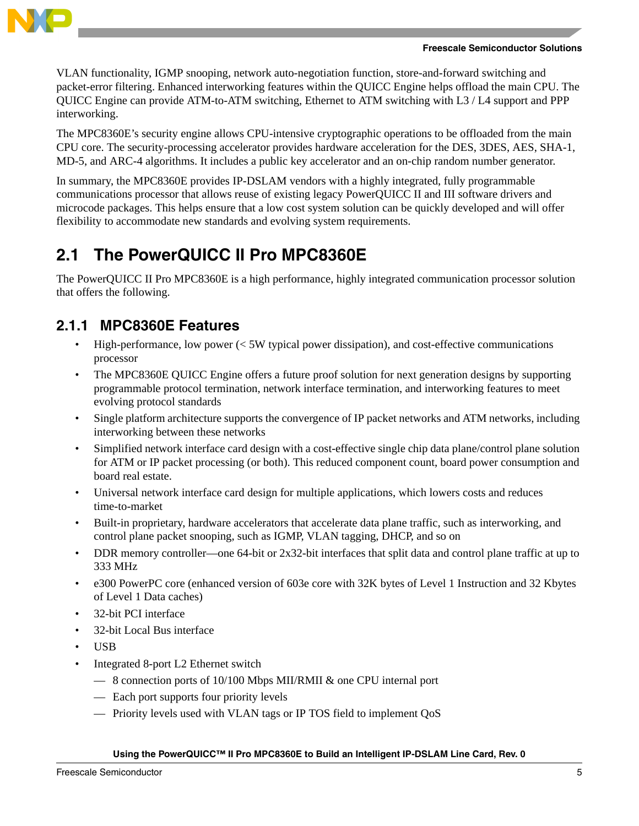

VLAN functionality, IGMP snooping, network auto-negotiation function, store-and-forward switching and packet-error filtering. Enhanced interworking features within the QUICC Engine helps offload the main CPU. The QUICC Engine can provide ATM-to-ATM switching, Ethernet to ATM switching with L3 / L4 support and PPP interworking.

The MPC8360E's security engine allows CPU-intensive cryptographic operations to be offloaded from the main CPU core. The security-processing accelerator provides hardware acceleration for the DES, 3DES, AES, SHA-1, MD-5, and ARC-4 algorithms. It includes a public key accelerator and an on-chip random number generator.

In summary, the MPC8360E provides IP-DSLAM vendors with a highly integrated, fully programmable communications processor that allows reuse of existing legacy PowerQUICC II and III software drivers and microcode packages. This helps ensure that a low cost system solution can be quickly developed and will offer flexibility to accommodate new standards and evolving system requirements.

# <span id="page-4-0"></span>**2.1 The PowerQUICC II Pro MPC8360E**

The PowerQUICC II Pro MPC8360E is a high performance, highly integrated communication processor solution that offers the following.

## **2.1.1 MPC8360E Features**

- High-performance, low power  $\leq 5W$  typical power dissipation), and cost-effective communications processor
- The MPC8360E QUICC Engine offers a future proof solution for next generation designs by supporting programmable protocol termination, network interface termination, and interworking features to meet evolving protocol standards
- Single platform architecture supports the convergence of IP packet networks and ATM networks, including interworking between these networks
- Simplified network interface card design with a cost-effective single chip data plane/control plane solution for ATM or IP packet processing (or both). This reduced component count, board power consumption and board real estate.
- Universal network interface card design for multiple applications, which lowers costs and reduces time-to-market
- Built-in proprietary, hardware accelerators that accelerate data plane traffic, such as interworking, and control plane packet snooping, such as IGMP, VLAN tagging, DHCP, and so on
- DDR memory controller—one 64-bit or 2x32-bit interfaces that split data and control plane traffic at up to 333 MHz
- e300 PowerPC core (enhanced version of 603e core with 32K bytes of Level 1 Instruction and 32 Kbytes of Level 1 Data caches)
- 32-bit PCI interface
- 32-bit Local Bus interface
- USB
- Integrated 8-port L2 Ethernet switch
	- 8 connection ports of 10/100 Mbps MII/RMII & one CPU internal port
	- Each port supports four priority levels
	- Priority levels used with VLAN tags or IP TOS field to implement QoS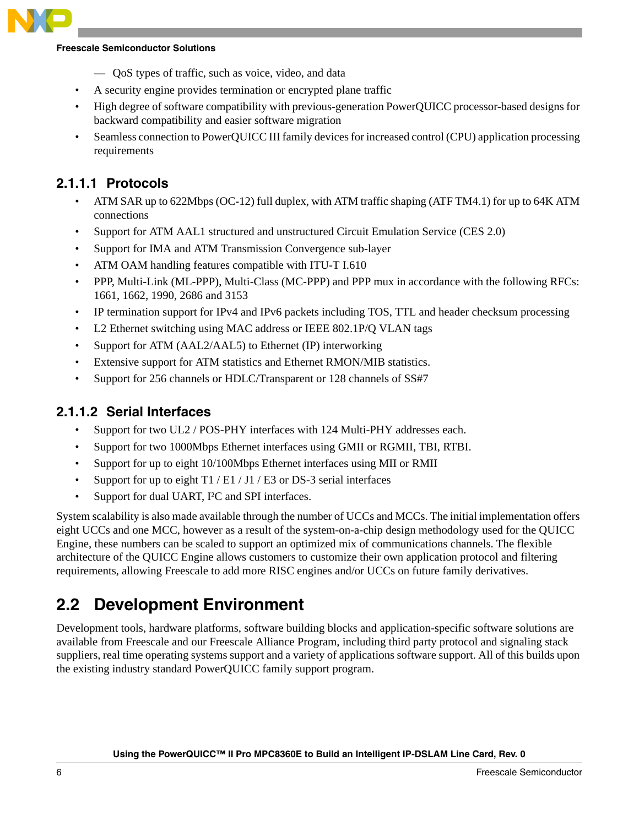### **Freescale Semiconductor Solutions**

- QoS types of traffic, such as voice, video, and data
- A security engine provides termination or encrypted plane traffic
- High degree of software compatibility with previous-generation PowerQUICC processor-based designs for backward compatibility and easier software migration
- Seamless connection to PowerQUICC III family devices for increased control (CPU) application processing requirements

## **2.1.1.1 Protocols**

- ATM SAR up to 622Mbps (OC-12) full duplex, with ATM traffic shaping (ATF TM4.1) for up to 64K ATM connections
- Support for ATM AAL1 structured and unstructured Circuit Emulation Service (CES 2.0)
- Support for IMA and ATM Transmission Convergence sub-layer
- ATM OAM handling features compatible with ITU-T I.610
- PPP, Multi-Link (ML-PPP), Multi-Class (MC-PPP) and PPP mux in accordance with the following RFCs: 1661, 1662, 1990, 2686 and 3153
- IP termination support for IPv4 and IPv6 packets including TOS, TTL and header checksum processing
- L2 Ethernet switching using MAC address or IEEE 802.1P/Q VLAN tags
- Support for ATM (AAL2/AAL5) to Ethernet (IP) interworking
- Extensive support for ATM statistics and Ethernet RMON/MIB statistics.
- Support for 256 channels or HDLC/Transparent or 128 channels of SS#7

### **2.1.1.2 Serial Interfaces**

- Support for two UL2 / POS-PHY interfaces with 124 Multi-PHY addresses each.
- Support for two 1000Mbps Ethernet interfaces using GMII or RGMII, TBI, RTBI.
- Support for up to eight 10/100Mbps Ethernet interfaces using MII or RMII
- Support for up to eight  $T1 / E1 / J1 / E3$  or DS-3 serial interfaces
- Support for dual UART, I<sup>2</sup>C and SPI interfaces.

System scalability is also made available through the number of UCCs and MCCs. The initial implementation offers eight UCCs and one MCC, however as a result of the system-on-a-chip design methodology used for the QUICC Engine, these numbers can be scaled to support an optimized mix of communications channels. The flexible architecture of the QUICC Engine allows customers to customize their own application protocol and filtering requirements, allowing Freescale to add more RISC engines and/or UCCs on future family derivatives.

# <span id="page-5-0"></span>**2.2 Development Environment**

Development tools, hardware platforms, software building blocks and application-specific software solutions are available from Freescale and our Freescale Alliance Program, including third party protocol and signaling stack suppliers, real time operating systems support and a variety of applications software support. All of this builds upon the existing industry standard PowerQUICC family support program.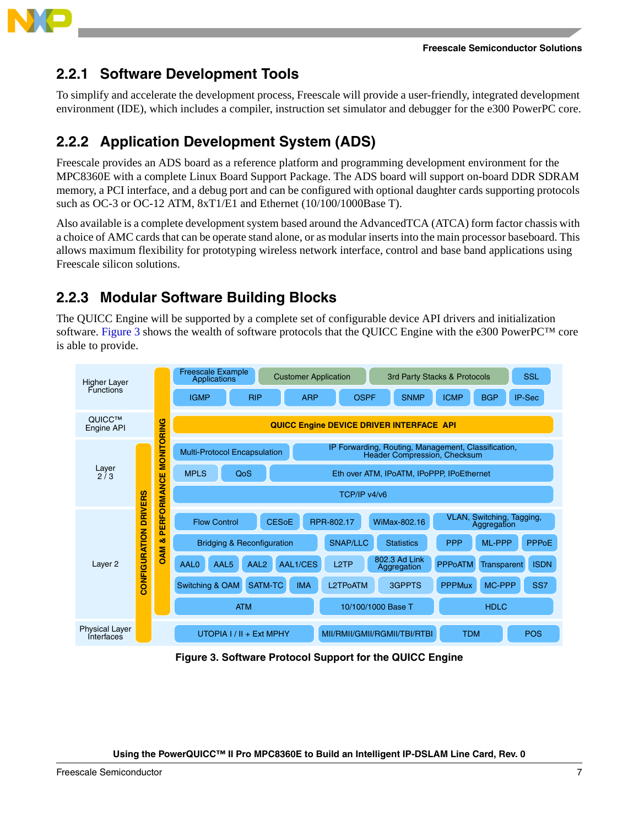

## **2.2.1 Software Development Tools**

To simplify and accelerate the development process, Freescale will provide a user-friendly, integrated development environment (IDE), which includes a compiler, instruction set simulator and debugger for the e300 PowerPC core.

## **2.2.2 Application Development System (ADS)**

Freescale provides an ADS board as a reference platform and programming development environment for the MPC8360E with a complete Linux Board Support Package. The ADS board will support on-board DDR SDRAM memory, a PCI interface, and a debug port and can be configured with optional daughter cards supporting protocols such as OC-3 or OC-12 ATM,  $8xT1/E1$  and Ethernet (10/100/1000Base T).

Also available is a complete development system based around the AdvancedTCA (ATCA) form factor chassis with a choice of AMC cards that can be operate stand alone, or as modular inserts into the main processor baseboard. This allows maximum flexibility for prototyping wireless network interface, control and base band applications using Freescale silicon solutions.

## **2.2.3 Modular Software Building Blocks**

The QUICC Engine will be supported by a complete set of configurable device API drivers and initialization software. [Figure 3](#page-6-0) shows the wealth of software protocols that the QUICC Engine with the e300 PowerPC™ core is able to provide.



<span id="page-6-0"></span>**Figure 3. Software Protocol Support for the QUICC Engine**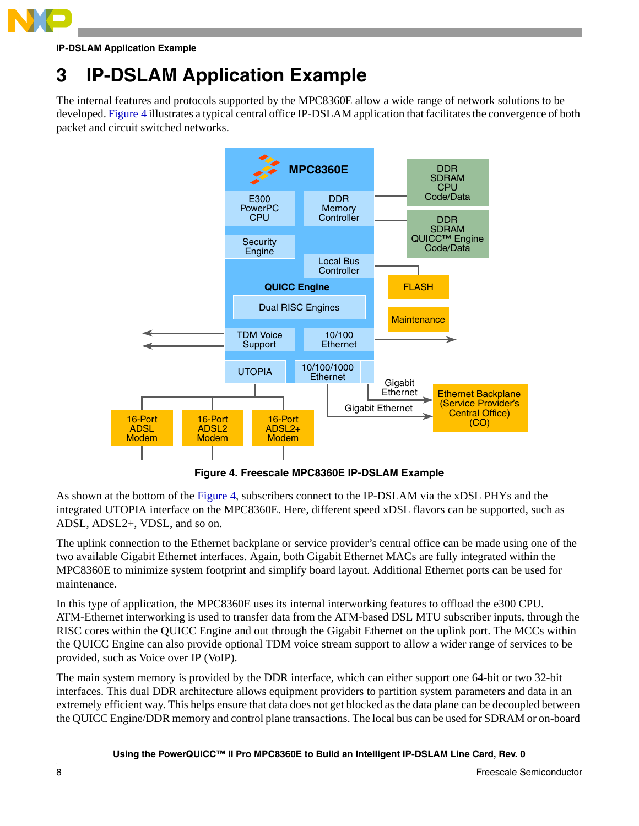

**IP-DSLAM Application Example**

# <span id="page-7-0"></span>**3 IP-DSLAM Application Example**

The internal features and protocols supported by the MPC8360E allow a wide range of network solutions to be developed. [Figure 4](#page-7-1) illustrates a typical central office IP-DSLAM application that facilitates the convergence of both packet and circuit switched networks.



**Figure 4. Freescale MPC8360E IP-DSLAM Example**

<span id="page-7-1"></span>As shown at the bottom of the [Figure 4](#page-7-1), subscribers connect to the IP-DSLAM via the xDSL PHYs and the integrated UTOPIA interface on the MPC8360E. Here, different speed xDSL flavors can be supported, such as ADSL, ADSL2+, VDSL, and so on.

The uplink connection to the Ethernet backplane or service provider's central office can be made using one of the two available Gigabit Ethernet interfaces. Again, both Gigabit Ethernet MACs are fully integrated within the MPC8360E to minimize system footprint and simplify board layout. Additional Ethernet ports can be used for maintenance.

In this type of application, the MPC8360E uses its internal interworking features to offload the e300 CPU. ATM-Ethernet interworking is used to transfer data from the ATM-based DSL MTU subscriber inputs, through the RISC cores within the QUICC Engine and out through the Gigabit Ethernet on the uplink port. The MCCs within the QUICC Engine can also provide optional TDM voice stream support to allow a wider range of services to be provided, such as Voice over IP (VoIP).

The main system memory is provided by the DDR interface, which can either support one 64-bit or two 32-bit interfaces. This dual DDR architecture allows equipment providers to partition system parameters and data in an extremely efficient way. This helps ensure that data does not get blocked as the data plane can be decoupled between the QUICC Engine/DDR memory and control plane transactions. The local bus can be used for SDRAM or on-board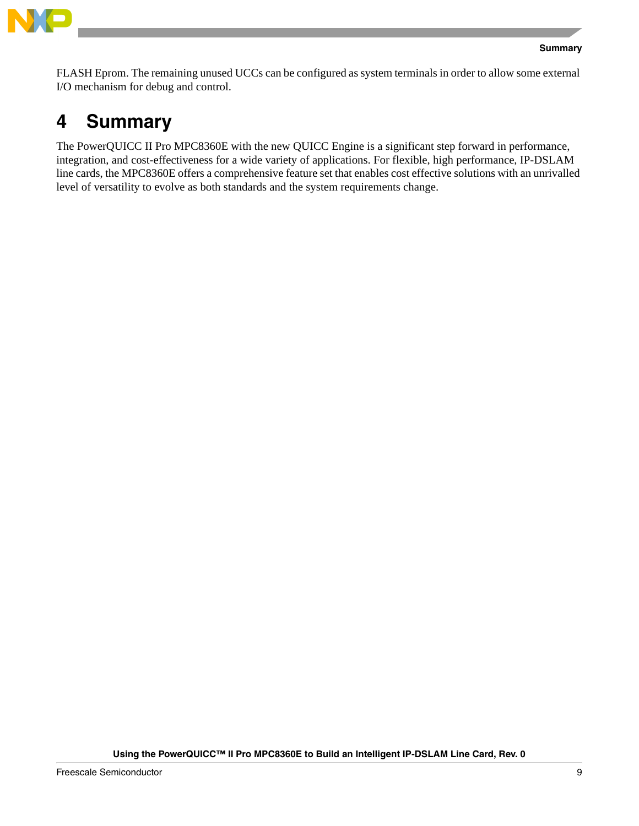

FLASH Eprom. The remaining unused UCCs can be configured as system terminals in order to allow some external I/O mechanism for debug and control.

# <span id="page-8-0"></span>**4 Summary**

The PowerQUICC II Pro MPC8360E with the new QUICC Engine is a significant step forward in performance, integration, and cost-effectiveness for a wide variety of applications. For flexible, high performance, IP-DSLAM line cards, the MPC8360E offers a comprehensive feature set that enables cost effective solutions with an unrivalled level of versatility to evolve as both standards and the system requirements change.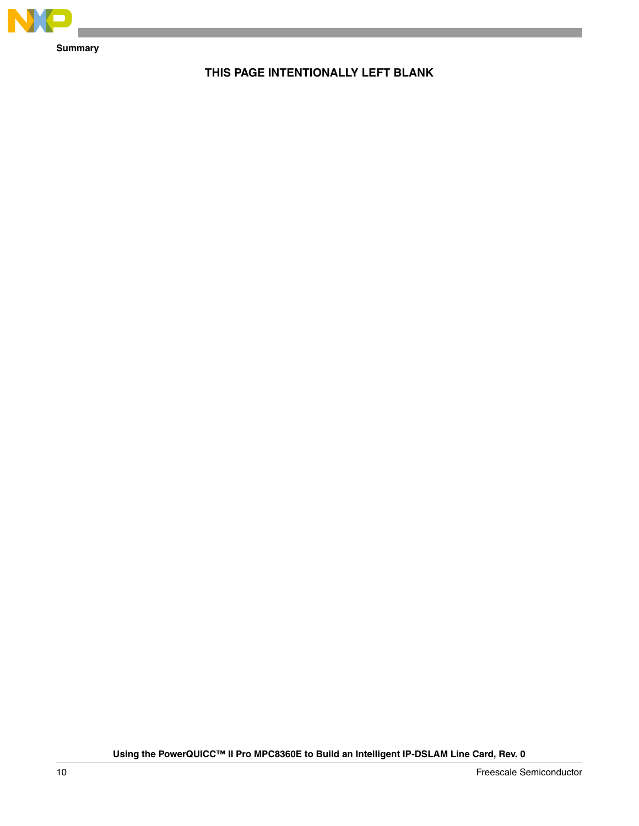

### **THIS PAGE INTENTIONALLY LEFT BLANK**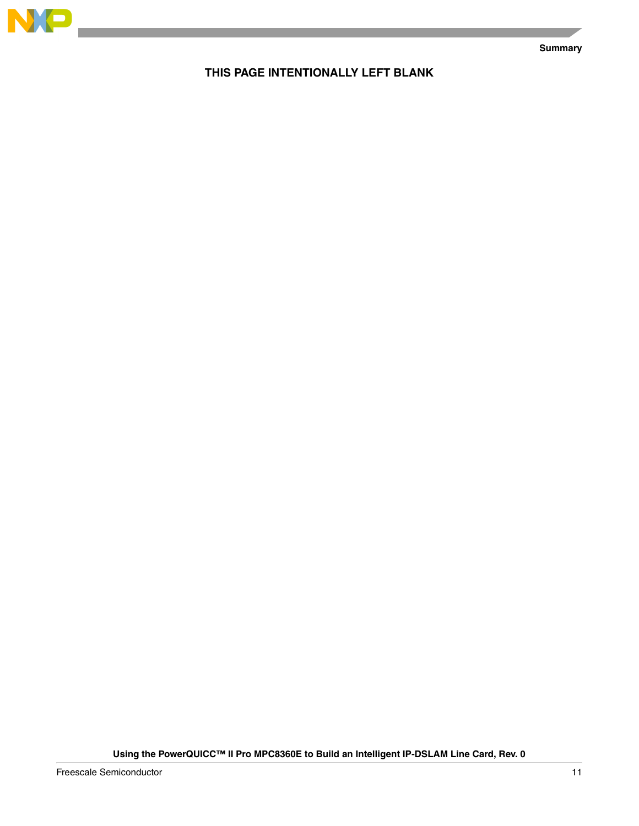

### **THIS PAGE INTENTIONALLY LEFT BLANK**